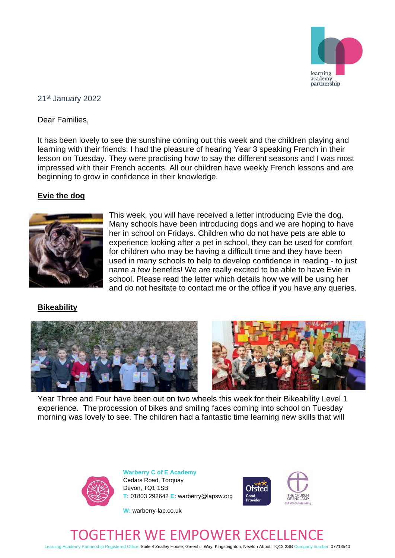

#### 21st January 2022

Dear Families,

It has been lovely to see the sunshine coming out this week and the children playing and learning with their friends. I had the pleasure of hearing Year 3 speaking French in their lesson on Tuesday. They were practising how to say the different seasons and I was most impressed with their French accents. All our children have weekly French lessons and are beginning to grow in confidence in their knowledge.

## **Evie the dog**



This week, you will have received a letter introducing Evie the dog. Many schools have been introducing dogs and we are hoping to have her in school on Fridays. Children who do not have pets are able to experience looking after a pet in school, they can be used for comfort for children who may be having a difficult time and they have been used in many schools to help to develop confidence in reading - to just name a few benefits! We are really excited to be able to have Evie in school. Please read the letter which details how we will be using her and do not hesitate to contact me or the office if you have any queries.

## **Bikeability**





Year Three and Four have been out on two wheels this week for their Bikeability Level 1 experience. The procession of bikes and smiling faces coming into school on Tuesday morning was lovely to see. The children had a fantastic time learning new skills that will



**Warberry C of E Academy** Cedars Road, Torquay Devon, TQ1 1SB **T:** 01803 292642 **E:** warberry@lapsw.org



**W:** warberry-lap.co.uk

# R WE EMPOWER EXC

Learning Academy Partnership Registered Office: Suite 4 Zealley House, Greenhill Way, Kingsteignton, Newton Abbot, TQ12 3SB Company number: 07713540